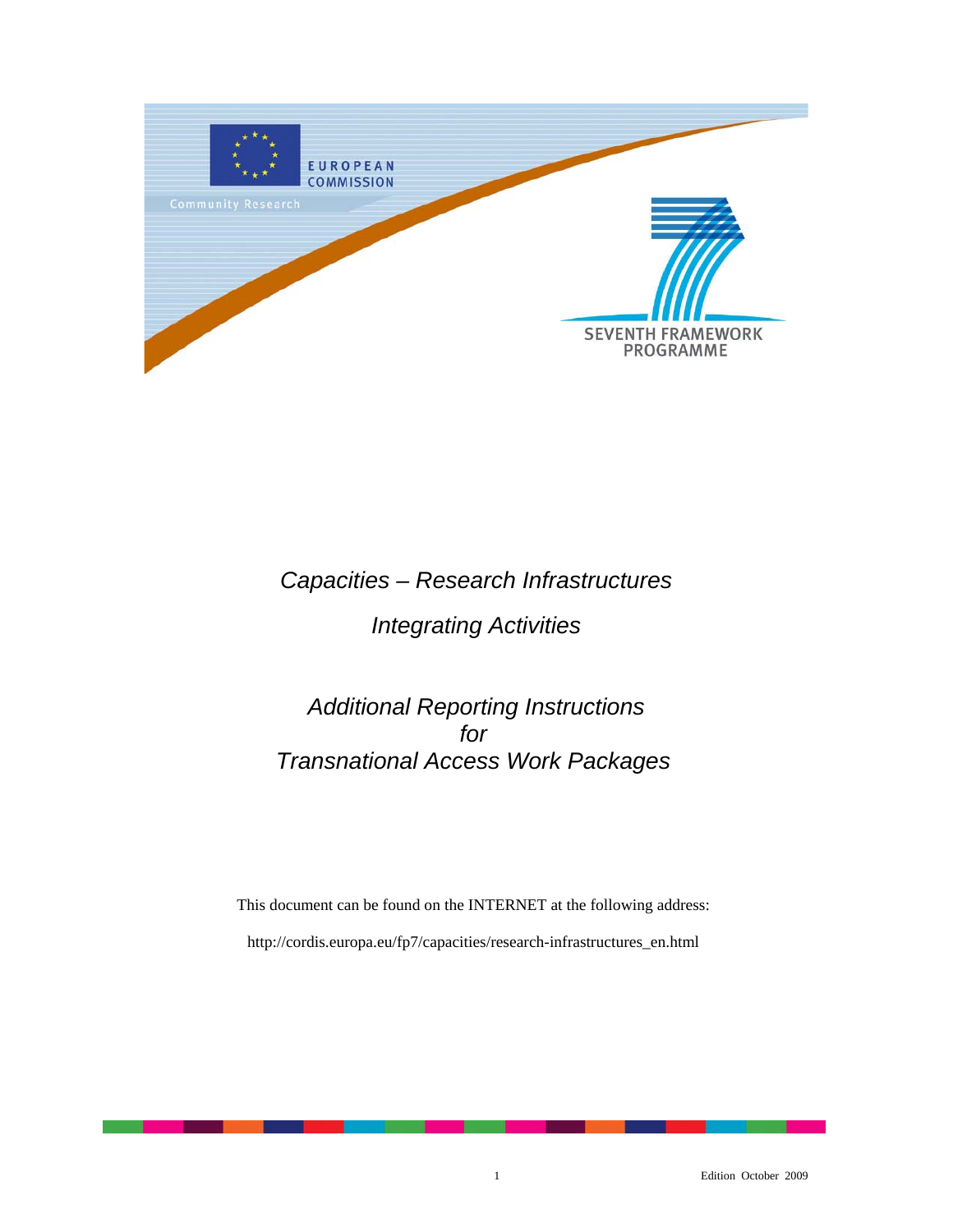

# *Capacities – Research Infrastructures*

# *Integrating Activities*

# *Additional Reporting Instructions for Transnational Access Work Packages*

This document can be found on the INTERNET at the following address: http://cordis.europa.eu/fp7/capacities/research-infrastructures\_en.html

1 Edition October 2009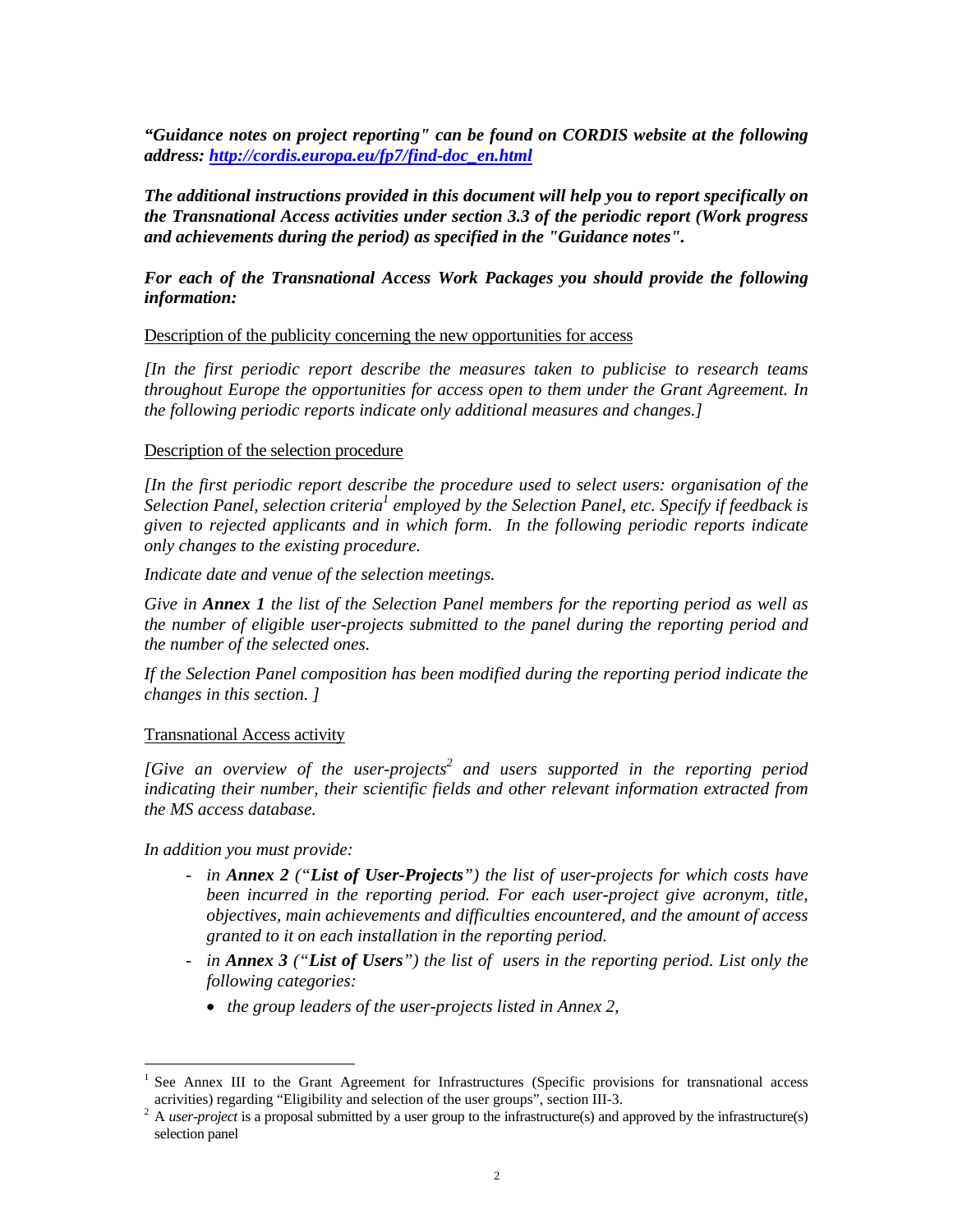*"Guidance notes on project reporting" can be found on CORDIS website at the following address: http://cordis.europa.eu/fp7/find-doc\_en.html*

*The additional instructions provided in this document will help you to report specifically on the Transnational Access activities under section 3.3 of the periodic report (Work progress and achievements during the period) as specified in the "Guidance notes".* 

## *For each of the Transnational Access Work Packages you should provide the following information:*

### Description of the publicity concerning the new opportunities for access

*[In the first periodic report describe the measures taken to publicise to research teams throughout Europe the opportunities for access open to them under the Grant Agreement. In the following periodic reports indicate only additional measures and changes.]* 

### Description of the selection procedure

*[In the first periodic report describe the procedure used to select users: organisation of the*  **Selection Panel, selection criteria<sup>1</sup> employed by the Selection Panel, etc. Specify if feedback is** *given to rejected applicants and in which form. In the following periodic reports indicate only changes to the existing procedure.* 

*Indicate date and venue of the selection meetings.* 

*Give in Annex 1 the list of the Selection Panel members for the reporting period as well as the number of eligible user-projects submitted to the panel during the reporting period and the number of the selected ones.* 

*If the Selection Panel composition has been modified during the reporting period indicate the changes in this section. ]* 

## Transnational Access activity

[Give an overview of the user-projects<sup>2</sup> and users supported in the reporting period *indicating their number, their scientific fields and other relevant information extracted from the MS access database.* 

*In addition you must provide:* 

i<br>L

- *in Annex 2 ("List of User-Projects") the list of user-projects for which costs have been incurred in the reporting period. For each user-project give acronym, title, objectives, main achievements and difficulties encountered, and the amount of access granted to it on each installation in the reporting period.*
- *in Annex 3 ("List of Users") the list of users in the reporting period. List only the following categories:* 
	- *the group leaders of the user-projects listed in Annex 2,*

<sup>1</sup> See Annex III to the Grant Agreement for Infrastructures (Specific provisions for transnational access acrivities) regarding "Eligibility and selection of the user groups", section III-3.

 $2A$  *user-project* is a proposal submitted by a user group to the infrastructure(s) and approved by the infrastructure(s) selection panel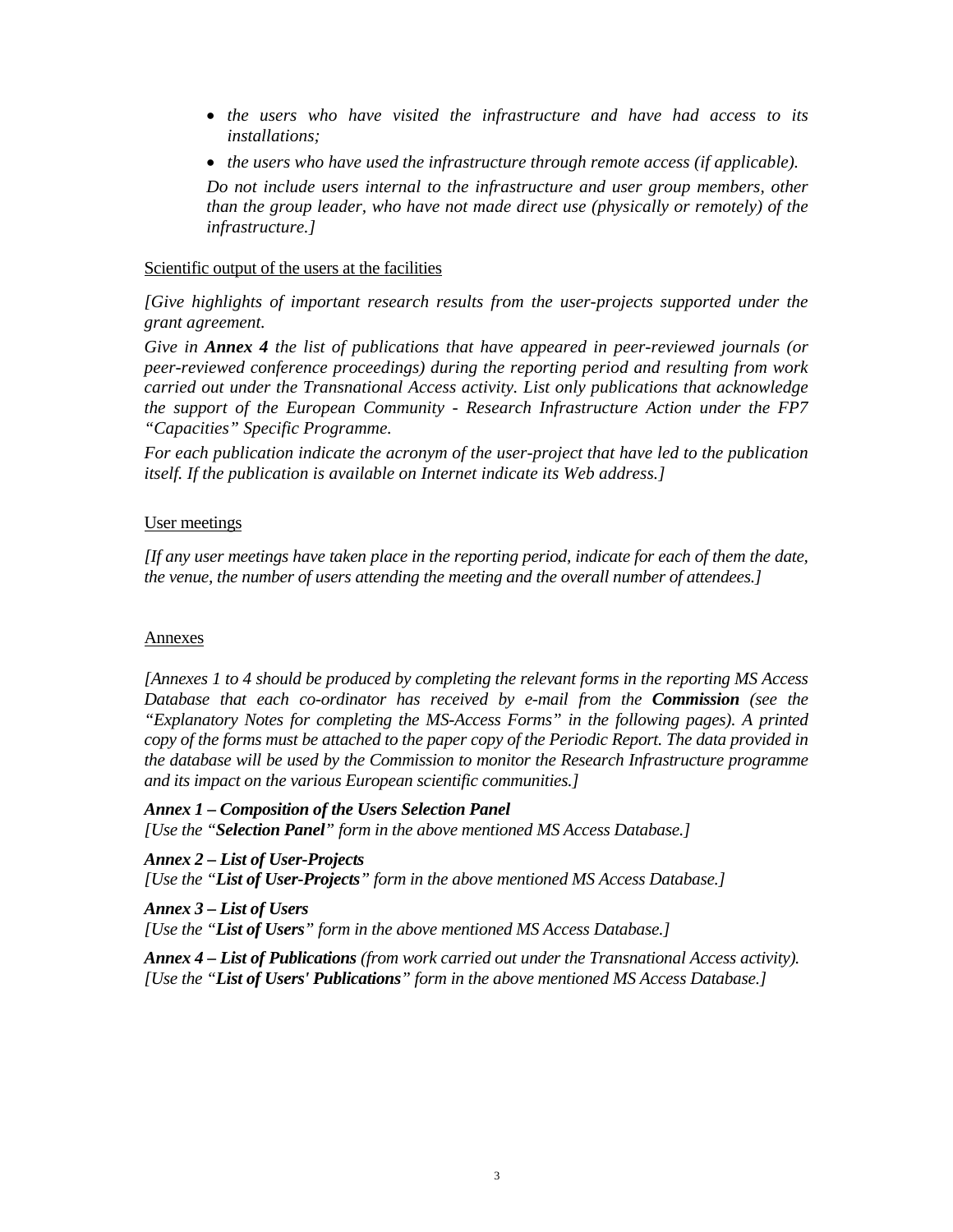- *the users who have visited the infrastructure and have had access to its installations;*
- *the users who have used the infrastructure through remote access (if applicable).*

*Do not include users internal to the infrastructure and user group members, other than the group leader, who have not made direct use (physically or remotely) of the infrastructure.]* 

### Scientific output of the users at the facilities

*[Give highlights of important research results from the user-projects supported under the grant agreement.* 

*Give in Annex 4 the list of publications that have appeared in peer-reviewed journals (or peer-reviewed conference proceedings) during the reporting period and resulting from work carried out under the Transnational Access activity. List only publications that acknowledge the support of the European Community - Research Infrastructure Action under the FP7 "Capacities" Specific Programme.* 

*For each publication indicate the acronym of the user-project that have led to the publication itself. If the publication is available on Internet indicate its Web address.]* 

## User meetings

*[If any user meetings have taken place in the reporting period, indicate for each of them the date, the venue, the number of users attending the meeting and the overall number of attendees.]* 

## Annexes

*[Annexes 1 to 4 should be produced by completing the relevant forms in the reporting MS Access Database that each co-ordinator has received by e-mail from the Commission (see the "Explanatory Notes for completing the MS-Access Forms" in the following pages). A printed copy of the forms must be attached to the paper copy of the Periodic Report. The data provided in the database will be used by the Commission to monitor the Research Infrastructure programme and its impact on the various European scientific communities.]* 

*Annex 1 – Composition of the Users Selection Panel* 

*[Use the "Selection Panel" form in the above mentioned MS Access Database.]* 

*Annex 2 – List of User-Projects* 

*[Use the "List of User-Projects" form in the above mentioned MS Access Database.]* 

#### *Annex 3 – List of Users*

*[Use the "List of Users" form in the above mentioned MS Access Database.]* 

*Annex 4 – List of Publications (from work carried out under the Transnational Access activity). [Use the "List of Users' Publications" form in the above mentioned MS Access Database.]*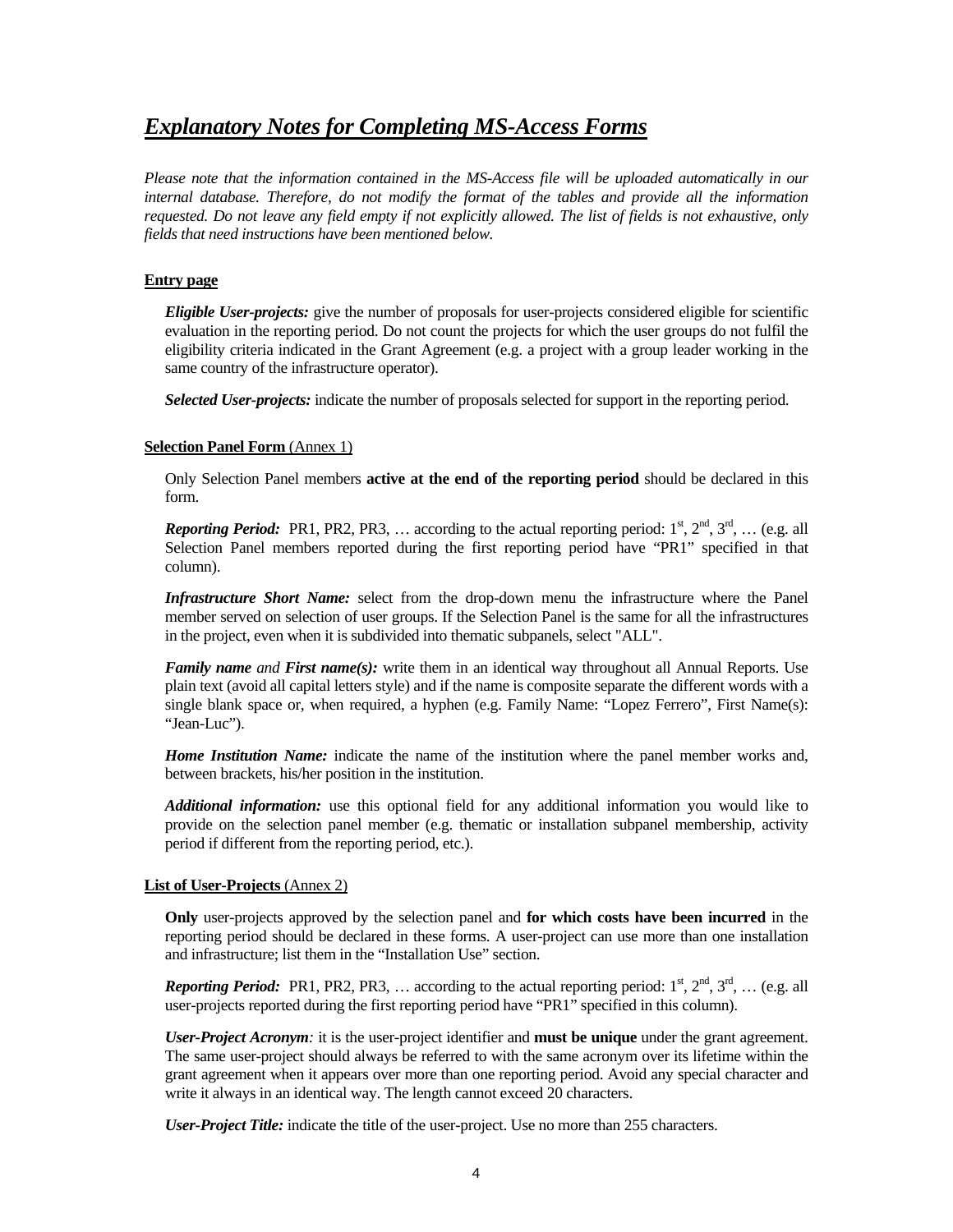## *Explanatory Notes for Completing MS-Access Forms*

*Please note that the information contained in the MS-Access file will be uploaded automatically in our internal database. Therefore, do not modify the format of the tables and provide all the information requested. Do not leave any field empty if not explicitly allowed. The list of fields is not exhaustive, only fields that need instructions have been mentioned below.* 

### **Entry page**

*Eligible User-projects:* give the number of proposals for user-projects considered eligible for scientific evaluation in the reporting period. Do not count the projects for which the user groups do not fulfil the eligibility criteria indicated in the Grant Agreement (e.g. a project with a group leader working in the same country of the infrastructure operator).

*Selected User-projects:* indicate the number of proposals selected for support in the reporting period.

#### **Selection Panel Form** (Annex 1)

Only Selection Panel members **active at the end of the reporting period** should be declared in this form.

*Reporting Period:* PR1, PR2, PR3, ... according to the actual reporting period:  $1^{st}$ ,  $2^{nd}$ ,  $3^{rd}$ , ... (e.g. all Selection Panel members reported during the first reporting period have "PR1" specified in that column).

*Infrastructure Short Name:* select from the drop-down menu the infrastructure where the Panel member served on selection of user groups. If the Selection Panel is the same for all the infrastructures in the project, even when it is subdivided into thematic subpanels, select "ALL".

*Family name and First name(s):* write them in an identical way throughout all Annual Reports. Use plain text (avoid all capital letters style) and if the name is composite separate the different words with a single blank space or, when required, a hyphen (e.g. Family Name: "Lopez Ferrero", First Name(s): "Jean-Luc").

*Home Institution Name:* indicate the name of the institution where the panel member works and, between brackets, his/her position in the institution.

*Additional information:* use this optional field for any additional information you would like to provide on the selection panel member (e.g. thematic or installation subpanel membership, activity period if different from the reporting period, etc.).

#### **List of User-Projects** (Annex 2)

**Only** user-projects approved by the selection panel and **for which costs have been incurred** in the reporting period should be declared in these forms. A user-project can use more than one installation and infrastructure; list them in the "Installation Use" section.

*Reporting Period:* PR1, PR2, PR3, ... according to the actual reporting period:  $1^{st}$ ,  $2^{nd}$ ,  $3^{rd}$ , ... (e.g. all user-projects reported during the first reporting period have "PR1" specified in this column).

*User-Project Acronym:* it is the user-project identifier and **must be unique** under the grant agreement. The same user-project should always be referred to with the same acronym over its lifetime within the grant agreement when it appears over more than one reporting period. Avoid any special character and write it always in an identical way. The length cannot exceed 20 characters.

*User-Project Title:* indicate the title of the user-project. Use no more than 255 characters.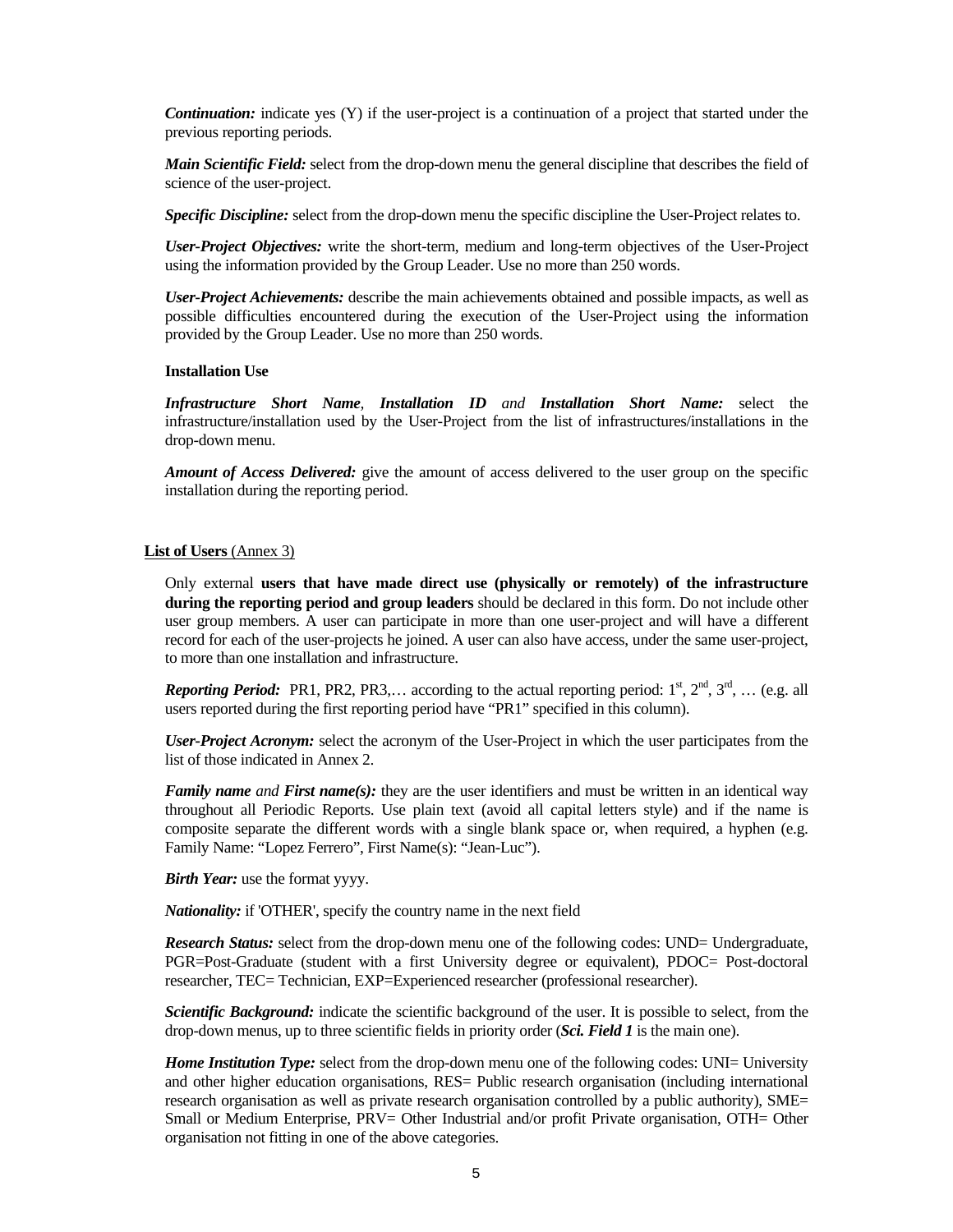*Continuation:* indicate yes (Y) if the user-project is a continuation of a project that started under the previous reporting periods.

*Main Scientific Field:* select from the drop-down menu the general discipline that describes the field of science of the user-project.

*Specific Discipline:* select from the drop-down menu the specific discipline the User-Project relates to.

*User-Project Objectives:* write the short-term, medium and long-term objectives of the User-Project using the information provided by the Group Leader. Use no more than 250 words.

*User-Project Achievements:* describe the main achievements obtained and possible impacts, as well as possible difficulties encountered during the execution of the User-Project using the information provided by the Group Leader. Use no more than 250 words.

#### **Installation Use**

*Infrastructure Short Name, Installation ID and Installation Short Name:* select the infrastructure/installation used by the User-Project from the list of infrastructures/installations in the drop-down menu.

*Amount of Access Delivered:* give the amount of access delivered to the user group on the specific installation during the reporting period.

#### **List of Users** (Annex 3)

Only external **users that have made direct use (physically or remotely) of the infrastructure during the reporting period and group leaders** should be declared in this form. Do not include other user group members. A user can participate in more than one user-project and will have a different record for each of the user-projects he joined. A user can also have access, under the same user-project, to more than one installation and infrastructure.

*Reporting Period:* PR1, PR2, PR3,... according to the actual reporting period:  $1^{st}$ ,  $2^{nd}$ ,  $3^{rd}$ , ... (e.g. all users reported during the first reporting period have "PR1" specified in this column).

*User-Project Acronym:* select the acronym of the User-Project in which the user participates from the list of those indicated in Annex 2.

*Family name and First name(s):* they are the user identifiers and must be written in an identical way throughout all Periodic Reports. Use plain text (avoid all capital letters style) and if the name is composite separate the different words with a single blank space or, when required, a hyphen (e.g. Family Name: "Lopez Ferrero", First Name(s): "Jean-Luc").

*Birth Year:* use the format yyyy.

*Nationality:* if 'OTHER', specify the country name in the next field

*Research Status:* select from the drop-down menu one of the following codes: UND= Undergraduate, PGR=Post-Graduate (student with a first University degree or equivalent), PDOC= Post-doctoral researcher, TEC= Technician, EXP=Experienced researcher (professional researcher).

*Scientific Background:* indicate the scientific background of the user. It is possible to select, from the drop-down menus, up to three scientific fields in priority order (*Sci. Field 1* is the main one).

*Home Institution Type:* select from the drop-down menu one of the following codes: UNI= University and other higher education organisations, RES= Public research organisation (including international research organisation as well as private research organisation controlled by a public authority), SME= Small or Medium Enterprise, PRV= Other Industrial and/or profit Private organisation, OTH= Other organisation not fitting in one of the above categories.